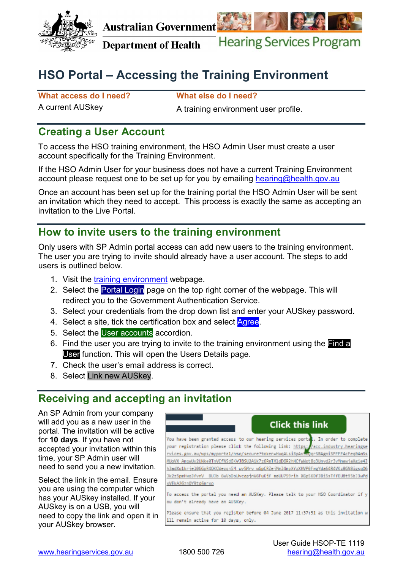

**Australian Government** 



**Department of Health Hearing Services Program** 

# **HSO Portal – Accessing the Training Environment**

**What access do I need? What else do I need?** 

A current AUSkey A training environment user profile.

# **Creating a User Account**

 To access the HSO training environment, the HSO Admin User must create a user account specifically for the Training Environment.

account please request one to be set up for you by emailing hearing@health.gov.au If the HSO Admin User for your business does not have a current Training Environment

 an invitation which they need to accept. This process is exactly the same as accepting an Once an account has been set up for the training portal the HSO Admin User will be sent invitation to the Live Portal.

## **How to invite users to the training environment**

 The user you are trying to invite should already have a user account. The steps to add Only users with SP Admin portal access can add new users to the training environment. users is outlined below.

- 1. Visit the [training environment](http://acc.hearingservices.gov.au/wps/portal/hso/site/HSOHome/) webpage.
- 2. Select the <mark>Portal Login</mark> page on the top right corner of the webpage. This will redirect you to the Government Authentication Service.
- ervic<br>nd ei<br><mark>Agre</mark><br>ng er 3. Select your credentials from the drop down list and enter your AUSkey password.
- 4. Select a site, tick the certification box and select Agree.
- 5. Select the User accounts accordion.
- **1111**  User function. This will open the Users Details page. **Find** 6. Find the user you are trying to invite to the training environment using the Find a
- 7. Check the user's email address is correct.
- 8. Select Link new AUSkey.

## **Receiving and accepting an invitation**

 accepted your invitation within this time, your SP Admin user will An SP Admin from your company will add you as a new user in the portal. The invitation will be active for **10 days**. If you have not need to send you a new invitation.

 AUSkey is on a USB, you will Select the link in the email. Ensure you are using the computer which has your AUSkey installed. If your need to copy the link and open it in your AUSkey browser.

#### **Click this link** You have been granted access to our hearing services portat. In order to complete your registration please click the following link: https: ://acc.industry.hearingse rvices.gov.au/wps/myportal/hso/secure?token=HuqALsiBpAvsoQqrSBAgniSPFFF4cFeqB4mSs MUoVX AmgwUy2UNke0TnVCfN5dGKVJBSU2A1k7z6RmTM1dDGR2hMCfwWot8g3Unvd2r3vMnew1aXg1e4J h3adXq1krje1066pR40KCWezqn5M\_wy5Mrv\_wGpCRZejMmJ4mpXYzXHVP0FwgYda64R4VKz86N8igsq06 Jk2z5pmHwoJfvnV BUJb GwVoDoUvcapjnWGFuKjf maUU7S9rih XGpS6DfJBiSsTffEU8t95bJ3wPd xVEkA2GznOYRtd6mrxo

To access the portal you need an AUSKey. Please talk to your HSO Coordinator if y ou don't already have an AUSKey.

Please ensure that you register before 04 June 2017 11:37:51 as this invitation w ill remain active for 10 days, only.